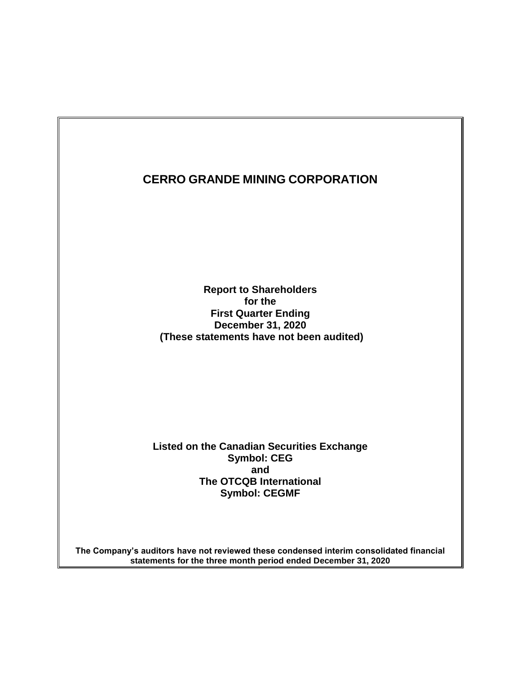**Report to Shareholders for the First Quarter Ending December 31, 2020 (These statements have not been audited)**

**Listed on the Canadian Securities Exchange Symbol: CEG and The OTCQB International Symbol: CEGMF**

**The Company's auditors have not reviewed these condensed interim consolidated financial statements for the three month period ended December 31, 2020**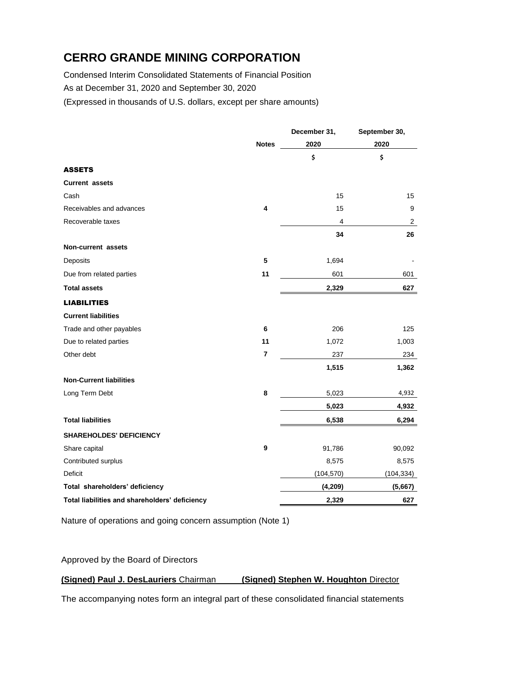Condensed Interim Consolidated Statements of Financial Position As at December 31, 2020 and September 30, 2020

(Expressed in thousands of U.S. dollars, except per share amounts)

|                                                |                         | December 31, | September 30,  |
|------------------------------------------------|-------------------------|--------------|----------------|
|                                                | <b>Notes</b>            | 2020         | 2020           |
|                                                |                         | \$           | \$             |
| <b>ASSETS</b>                                  |                         |              |                |
| <b>Current assets</b>                          |                         |              |                |
| Cash                                           |                         | 15           | 15             |
| Receivables and advances                       | 4                       | 15           | 9              |
| Recoverable taxes                              |                         | 4            | $\overline{2}$ |
|                                                |                         | 34           | 26             |
| Non-current assets                             |                         |              |                |
| Deposits                                       | 5                       | 1,694        |                |
| Due from related parties                       | 11                      | 601          | 601            |
| <b>Total assets</b>                            |                         | 2,329        | 627            |
| <b>LIABILITIES</b>                             |                         |              |                |
| <b>Current liabilities</b>                     |                         |              |                |
| Trade and other payables                       | 6                       | 206          | 125            |
| Due to related parties                         | 11                      | 1,072        | 1,003          |
| Other debt                                     | $\overline{\mathbf{r}}$ | 237          | 234            |
|                                                |                         | 1,515        | 1,362          |
| <b>Non-Current liabilities</b>                 |                         |              |                |
| Long Term Debt                                 | 8                       | 5,023        | 4,932          |
|                                                |                         | 5,023        | 4,932          |
| <b>Total liabilities</b>                       |                         | 6,538        | 6,294          |
| <b>SHAREHOLDES' DEFICIENCY</b>                 |                         |              |                |
| Share capital                                  | 9                       | 91,786       | 90,092         |
| Contributed surplus                            |                         | 8,575        | 8,575          |
| Deficit                                        |                         | (104, 570)   | (104, 334)     |
| Total shareholders' deficiency                 |                         | (4, 209)     | (5,667)        |
| Total liabilities and shareholders' deficiency |                         | 2,329        | 627            |

Nature of operations and going concern assumption (Note 1)

Approved by the Board of Directors

#### **(Signed) Paul J. DesLauriers** Chairman **(Signed) Stephen W. Houghton** Director

The accompanying notes form an integral part of these consolidated financial statements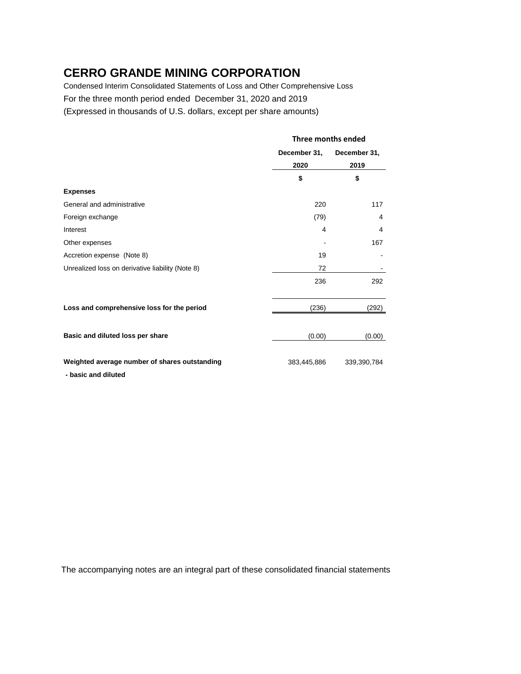Condensed Interim Consolidated Statements of Loss and Other Comprehensive Loss For the three month period ended December 31, 2020 and 2019 (Expressed in thousands of U.S. dollars, except per share amounts)

|                                                                      | Three months ended |              |  |
|----------------------------------------------------------------------|--------------------|--------------|--|
|                                                                      | December 31,       | December 31, |  |
|                                                                      | 2020               | 2019         |  |
|                                                                      | \$                 | \$           |  |
| <b>Expenses</b>                                                      |                    |              |  |
| General and administrative                                           | 220                | 117          |  |
| Foreign exchange                                                     | (79)               | 4            |  |
| Interest                                                             | 4                  | 4            |  |
| Other expenses                                                       |                    | 167          |  |
| Accretion expense (Note 8)                                           | 19                 |              |  |
| Unrealized loss on derivative liability (Note 8)                     | 72                 |              |  |
|                                                                      | 236                | 292          |  |
| Loss and comprehensive loss for the period                           | (236)              | (292)        |  |
| Basic and diluted loss per share                                     | (0.00)             | (0.00)       |  |
| Weighted average number of shares outstanding<br>- basic and diluted | 383,445,886        | 339,390,784  |  |

The accompanying notes are an integral part of these consolidated financial statements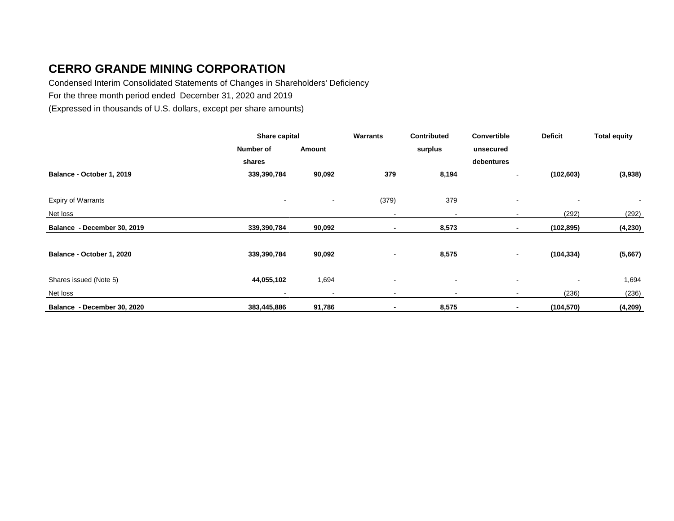Condensed Interim Consolidated Statements of Changes in Shareholders' Deficiency For the three month period ended December 31, 2020 and 2019

(Expressed in thousands of U.S. dollars, except per share amounts)

|                             | Share capital |        | Warrants                 | <b>Contributed</b> | Convertible              | <b>Deficit</b> | <b>Total equity</b> |
|-----------------------------|---------------|--------|--------------------------|--------------------|--------------------------|----------------|---------------------|
|                             | Number of     | Amount |                          | surplus            | unsecured                |                |                     |
|                             | shares        |        |                          |                    | debentures               |                |                     |
| Balance - October 1, 2019   | 339,390,784   | 90,092 | 379                      | 8,194              | ۰                        | (102, 603)     | (3,938)             |
|                             |               |        |                          |                    |                          |                |                     |
| <b>Expiry of Warrants</b>   | $\sim$        | $\sim$ | (379)                    | 379                |                          | $\blacksquare$ |                     |
| Net loss                    |               |        | $\overline{\phantom{a}}$ | $\sim$             |                          | (292)          | (292)               |
| Balance - December 30, 2019 | 339,390,784   | 90,092 | $\blacksquare$           | 8,573              |                          | (102, 895)     | (4, 230)            |
|                             |               |        |                          |                    |                          |                |                     |
| Balance - October 1, 2020   | 339,390,784   | 90,092 | $\overline{\phantom{a}}$ | 8,575              | $\overline{\phantom{0}}$ | (104, 334)     | (5,667)             |
|                             |               |        |                          |                    |                          |                |                     |
| Shares issued (Note 5)      | 44,055,102    | 1,694  | $\overline{\phantom{a}}$ | $\blacksquare$     | $\blacksquare$           | $\blacksquare$ | 1,694               |
| Net loss                    | $\sim$        | $\sim$ | $\overline{\phantom{a}}$ | $\sim$             | $\overline{\phantom{a}}$ | (236)          | (236)               |
| Balance - December 30, 2020 | 383,445,886   | 91,786 |                          | 8,575              |                          | (104, 570)     | (4, 209)            |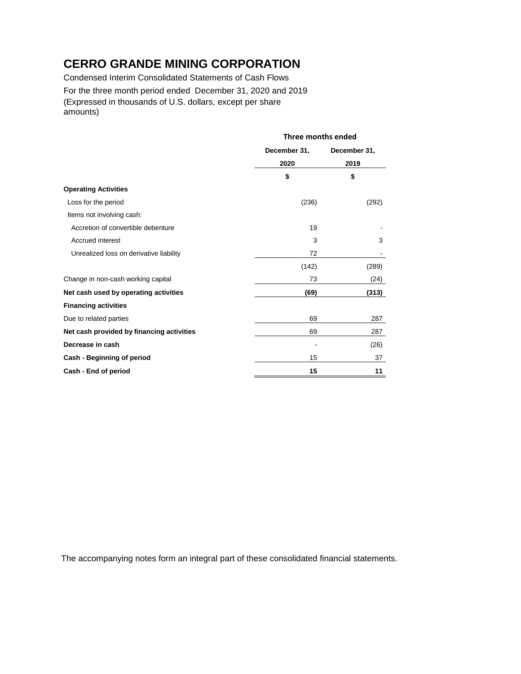Condensed Interim Consolidated Statements of Cash Flows For the three month period ended December 31, 2020 and 2019 (Expressed in thousands of U.S. dollars, except per share amounts)

|                                           | Three months ended |                      |  |
|-------------------------------------------|--------------------|----------------------|--|
|                                           | December 31,       | December 31,<br>2019 |  |
|                                           | 2020               |                      |  |
|                                           | \$                 | \$                   |  |
| <b>Operating Activities</b>               |                    |                      |  |
| Loss for the period                       | (236)              | (292)                |  |
| Items not involving cash:                 |                    |                      |  |
| Accretion of convertible debenture        | 19                 |                      |  |
| <b>Accrued interest</b>                   | 3                  | 3                    |  |
| Unrealized loss on derivative liability   | 72                 |                      |  |
|                                           | (142)              | (289)                |  |
| Change in non-cash working capital        | 73                 | (24)                 |  |
| Net cash used by operating activities     | (69)               | (313)                |  |
| <b>Financing activities</b>               |                    |                      |  |
| Due to related parties                    | 69                 | 287                  |  |
| Net cash provided by financing activities | 69                 | 287                  |  |
| Decrease in cash                          |                    | (26)                 |  |
| Cash - Beginning of period                | 15                 | 37                   |  |
| Cash - End of period                      | 15                 | 11                   |  |

The accompanying notes form an integral part of these consolidated financial statements.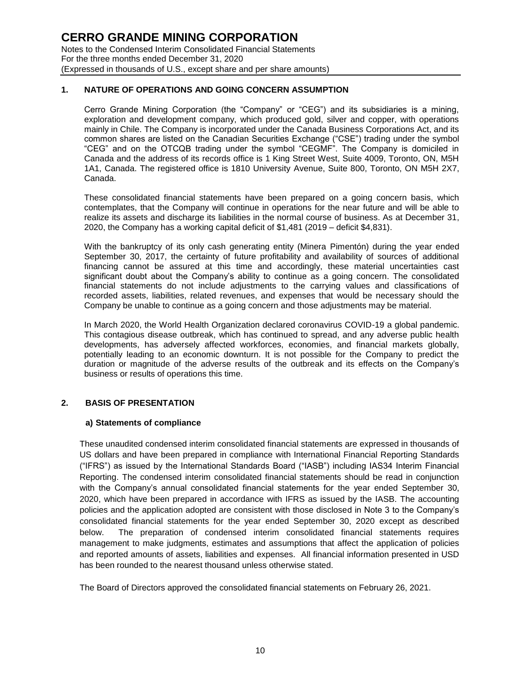#### **1. NATURE OF OPERATIONS AND GOING CONCERN ASSUMPTION**

Cerro Grande Mining Corporation (the "Company" or "CEG") and its subsidiaries is a mining, exploration and development company, which produced gold, silver and copper, with operations mainly in Chile. The Company is incorporated under the Canada Business Corporations Act, and its common shares are listed on the Canadian Securities Exchange ("CSE") trading under the symbol "CEG" and on the OTCQB trading under the symbol "CEGMF". The Company is domiciled in Canada and the address of its records office is 1 King Street West, Suite 4009, Toronto, ON, M5H 1A1, Canada. The registered office is 1810 University Avenue, Suite 800, Toronto, ON M5H 2X7, Canada.

These consolidated financial statements have been prepared on a going concern basis, which contemplates, that the Company will continue in operations for the near future and will be able to realize its assets and discharge its liabilities in the normal course of business. As at December 31, 2020, the Company has a working capital deficit of \$1,481 (2019 – deficit \$4,831).

With the bankruptcy of its only cash generating entity (Minera Pimentón) during the year ended September 30, 2017, the certainty of future profitability and availability of sources of additional financing cannot be assured at this time and accordingly, these material uncertainties cast significant doubt about the Company's ability to continue as a going concern. The consolidated financial statements do not include adjustments to the carrying values and classifications of recorded assets, liabilities, related revenues, and expenses that would be necessary should the Company be unable to continue as a going concern and those adjustments may be material.

In March 2020, the World Health Organization declared coronavirus COVID-19 a global pandemic. This contagious disease outbreak, which has continued to spread, and any adverse public health developments, has adversely affected workforces, economies, and financial markets globally, potentially leading to an economic downturn. It is not possible for the Company to predict the duration or magnitude of the adverse results of the outbreak and its effects on the Company's business or results of operations this time.

#### **2. BASIS OF PRESENTATION**

#### **a) Statements of compliance**

These unaudited condensed interim consolidated financial statements are expressed in thousands of US dollars and have been prepared in compliance with International Financial Reporting Standards ("IFRS") as issued by the International Standards Board ("IASB") including IAS34 Interim Financial Reporting. The condensed interim consolidated financial statements should be read in conjunction with the Company's annual consolidated financial statements for the year ended September 30, 2020, which have been prepared in accordance with IFRS as issued by the IASB. The accounting policies and the application adopted are consistent with those disclosed in Note 3 to the Company's consolidated financial statements for the year ended September 30, 2020 except as described below. The preparation of condensed interim consolidated financial statements requires management to make judgments, estimates and assumptions that affect the application of policies and reported amounts of assets, liabilities and expenses. All financial information presented in USD has been rounded to the nearest thousand unless otherwise stated.

The Board of Directors approved the consolidated financial statements on February 26, 2021.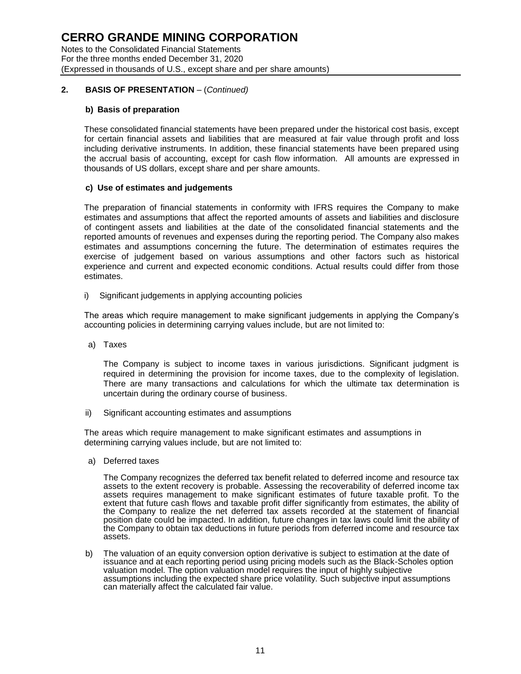Notes to the Consolidated Financial Statements For the three months ended December 31, 2020 (Expressed in thousands of U.S., except share and per share amounts)

### **2. BASIS OF PRESENTATION** – (*Continued)*

#### **b) Basis of preparation**

These consolidated financial statements have been prepared under the historical cost basis, except for certain financial assets and liabilities that are measured at fair value through profit and loss including derivative instruments. In addition, these financial statements have been prepared using the accrual basis of accounting, except for cash flow information. All amounts are expressed in thousands of US dollars, except share and per share amounts.

#### **c) Use of estimates and judgements**

The preparation of financial statements in conformity with IFRS requires the Company to make estimates and assumptions that affect the reported amounts of assets and liabilities and disclosure of contingent assets and liabilities at the date of the consolidated financial statements and the reported amounts of revenues and expenses during the reporting period. The Company also makes estimates and assumptions concerning the future. The determination of estimates requires the exercise of judgement based on various assumptions and other factors such as historical experience and current and expected economic conditions. Actual results could differ from those estimates.

i) Significant judgements in applying accounting policies

The areas which require management to make significant judgements in applying the Company's accounting policies in determining carrying values include, but are not limited to:

a) Taxes

The Company is subject to income taxes in various jurisdictions. Significant judgment is required in determining the provision for income taxes, due to the complexity of legislation. There are many transactions and calculations for which the ultimate tax determination is uncertain during the ordinary course of business.

ii) Significant accounting estimates and assumptions

The areas which require management to make significant estimates and assumptions in determining carrying values include, but are not limited to:

a) Deferred taxes

The Company recognizes the deferred tax benefit related to deferred income and resource tax assets to the extent recovery is probable. Assessing the recoverability of deferred income tax assets requires management to make significant estimates of future taxable profit. To the extent that future cash flows and taxable profit differ significantly from estimates, the ability of the Company to realize the net deferred tax assets recorded at the statement of financial position date could be impacted. In addition, future changes in tax laws could limit the ability of the Company to obtain tax deductions in future periods from deferred income and resource tax assets.

b) The valuation of an equity conversion option derivative is subject to estimation at the date of issuance and at each reporting period using pricing models such as the Black-Scholes option valuation model. The option valuation model requires the input of highly subjective assumptions including the expected share price volatility. Such subjective input assumptions can materially affect the calculated fair value.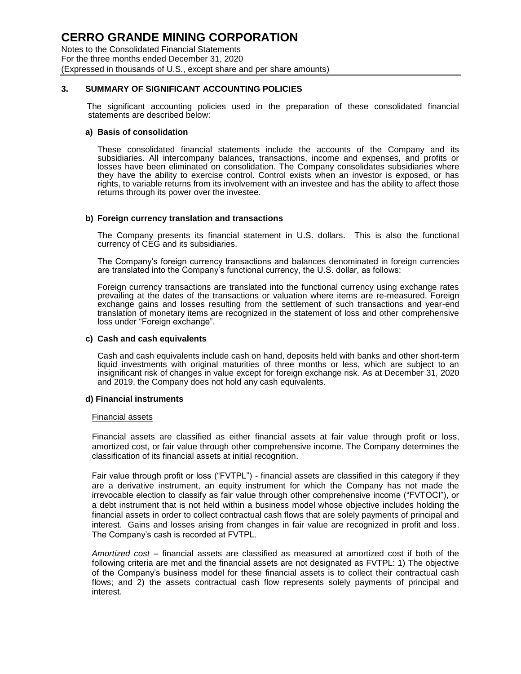Notes to the Consolidated Financial Statements For the three months ended December 31, 2020 (Expressed in thousands of U.S., except share and per share amounts)

### **3. SUMMARY OF SIGNIFICANT ACCOUNTING POLICIES**

The significant accounting policies used in the preparation of these consolidated financial statements are described below:

#### **a) Basis of consolidation**

These consolidated financial statements include the accounts of the Company and its subsidiaries. All intercompany balances, transactions, income and expenses, and profits or losses have been eliminated on consolidation. The Company consolidates subsidiaries where they have the ability to exercise control. Control exists when an investor is exposed, or has rights, to variable returns from its involvement with an investee and has the ability to affect those returns through its power over the investee.

#### **b) Foreign currency translation and transactions**

The Company presents its financial statement in U.S. dollars. This is also the functional currency of CEG and its subsidiaries.

The Company's foreign currency transactions and balances denominated in foreign currencies are translated into the Company's functional currency, the U.S. dollar, as follows:

Foreign currency transactions are translated into the functional currency using exchange rates prevailing at the dates of the transactions or valuation where items are re-measured. Foreign exchange gains and losses resulting from the settlement of such transactions and year-end translation of monetary items are recognized in the statement of loss and other comprehensive loss under "Foreign exchange".

#### **c) Cash and cash equivalents**

Cash and cash equivalents include cash on hand, deposits held with banks and other short-term liquid investments with original maturities of three months or less, which are subject to an insignificant risk of changes in value except for foreign exchange risk. As at December 31, 2020 and 2019, the Company does not hold any cash equivalents.

#### **d) Financial instruments**

#### Financial assets

Financial assets are classified as either financial assets at fair value through profit or loss, amortized cost, or fair value through other comprehensive income. The Company determines the classification of its financial assets at initial recognition.

Fair value through profit or loss ("FVTPL") - financial assets are classified in this category if they are a derivative instrument, an equity instrument for which the Company has not made the irrevocable election to classify as fair value through other comprehensive income ("FVTOCI"), or a debt instrument that is not held within a business model whose objective includes holding the financial assets in order to collect contractual cash flows that are solely payments of principal and interest. Gains and losses arising from changes in fair value are recognized in profit and loss. The Company's cash is recorded at FVTPL.

*Amortized cost* – financial assets are classified as measured at amortized cost if both of the following criteria are met and the financial assets are not designated as FVTPL: 1) The objective of the Company's business model for these financial assets is to collect their contractual cash flows; and 2) the assets contractual cash flow represents solely payments of principal and interest.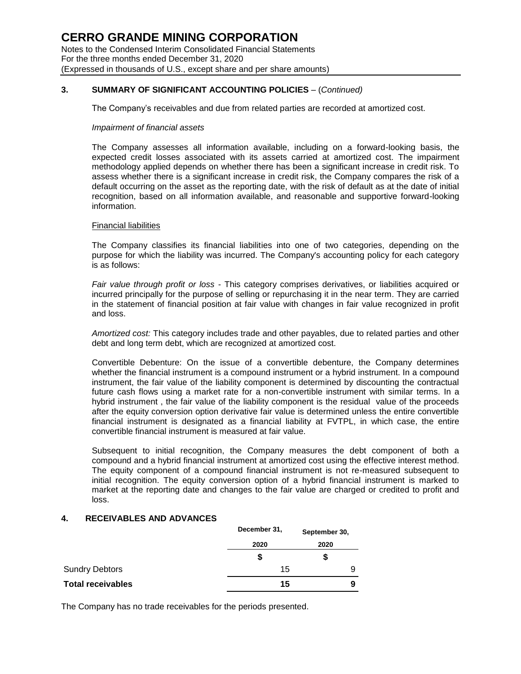Notes to the Condensed Interim Consolidated Financial Statements For the three months ended December 31, 2020 (Expressed in thousands of U.S., except share and per share amounts)

### **3. SUMMARY OF SIGNIFICANT ACCOUNTING POLICIES** – (*Continued)*

The Company's receivables and due from related parties are recorded at amortized cost.

#### *Impairment of financial assets*

The Company assesses all information available, including on a forward-looking basis, the expected credit losses associated with its assets carried at amortized cost. The impairment methodology applied depends on whether there has been a significant increase in credit risk. To assess whether there is a significant increase in credit risk, the Company compares the risk of a default occurring on the asset as the reporting date, with the risk of default as at the date of initial recognition, based on all information available, and reasonable and supportive forward-looking information.

#### Financial liabilities

The Company classifies its financial liabilities into one of two categories, depending on the purpose for which the liability was incurred. The Company's accounting policy for each category is as follows:

*Fair value through profit or loss* - This category comprises derivatives, or liabilities acquired or incurred principally for the purpose of selling or repurchasing it in the near term. They are carried in the statement of financial position at fair value with changes in fair value recognized in profit and loss.

*Amortized cost:* This category includes trade and other payables, due to related parties and other debt and long term debt, which are recognized at amortized cost.

Convertible Debenture: On the issue of a convertible debenture, the Company determines whether the financial instrument is a compound instrument or a hybrid instrument. In a compound instrument, the fair value of the liability component is determined by discounting the contractual future cash flows using a market rate for a non-convertible instrument with similar terms. In a hybrid instrument , the fair value of the liability component is the residual value of the proceeds after the equity conversion option derivative fair value is determined unless the entire convertible financial instrument is designated as a financial liability at FVTPL, in which case, the entire convertible financial instrument is measured at fair value.

Subsequent to initial recognition, the Company measures the debt component of both a compound and a hybrid financial instrument at amortized cost using the effective interest method. The equity component of a compound financial instrument is not re-measured subsequent to initial recognition. The equity conversion option of a hybrid financial instrument is marked to market at the reporting date and changes to the fair value are charged or credited to profit and loss.

#### **4. RECEIVABLES AND ADVANCES**

|                          | December 31, | September 30, |
|--------------------------|--------------|---------------|
|                          | 2020         | 2020          |
|                          | S            | \$            |
| <b>Sundry Debtors</b>    | 15           |               |
| <b>Total receivables</b> | 15           |               |

The Company has no trade receivables for the periods presented.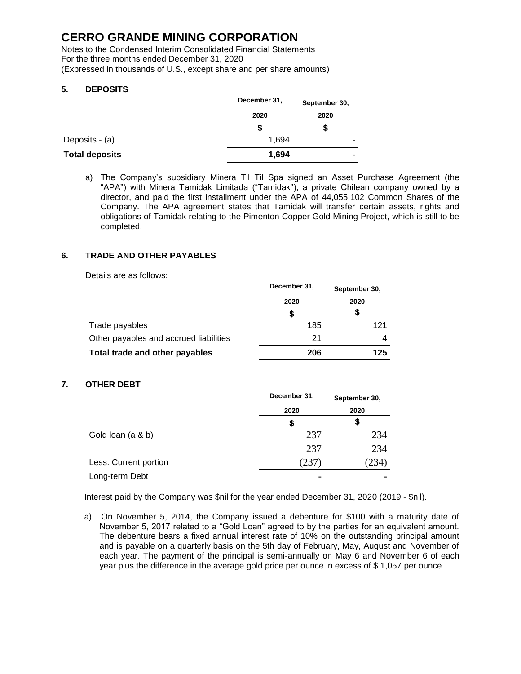Notes to the Condensed Interim Consolidated Financial Statements For the three months ended December 31, 2020 (Expressed in thousands of U.S., except share and per share amounts)

### **5. DEPOSITS**

|                       | December 31, | September 30, |
|-----------------------|--------------|---------------|
|                       | 2020         | 2020          |
|                       |              | \$            |
| Deposits - (a)        | 1,694        | -             |
| <b>Total deposits</b> | 1,694        |               |

a) The Company's subsidiary Minera Til Til Spa signed an Asset Purchase Agreement (the "APA") with Minera Tamidak Limitada ("Tamidak"), a private Chilean company owned by a director, and paid the first installment under the APA of 44,055,102 Common Shares of the Company. The APA agreement states that Tamidak will transfer certain assets, rights and obligations of Tamidak relating to the Pimenton Copper Gold Mining Project, which is still to be completed.

### **6. TRADE AND OTHER PAYABLES**

Details are as follows:

|                                        | December 31, | September 30,<br>2020 |  |
|----------------------------------------|--------------|-----------------------|--|
|                                        | 2020         |                       |  |
|                                        | \$           |                       |  |
| Trade payables                         | 185          | 121                   |  |
| Other payables and accrued liabilities | 21           |                       |  |
| Total trade and other payables         | 206          | 125                   |  |

### **7. OTHER DEBT**

|                | September 30, |  |
|----------------|---------------|--|
| 2020           | 2020          |  |
| \$             | \$            |  |
| 237            | 234           |  |
| 237            | 234           |  |
| (237)          | (234)         |  |
| $\blacksquare$ |               |  |
|                | December 31,  |  |

Interest paid by the Company was \$nil for the year ended December 31, 2020 (2019 - \$nil).

a) On November 5, 2014, the Company issued a debenture for \$100 with a maturity date of November 5, 2017 related to a "Gold Loan" agreed to by the parties for an equivalent amount. The debenture bears a fixed annual interest rate of 10% on the outstanding principal amount and is payable on a quarterly basis on the 5th day of February, May, August and November of each year. The payment of the principal is semi-annually on May 6 and November 6 of each year plus the difference in the average gold price per ounce in excess of \$ 1,057 per ounce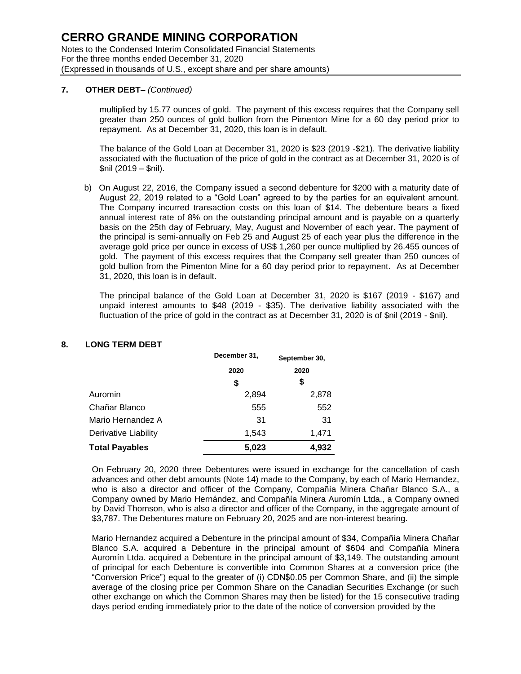#### **7. OTHER DEBT–** *(Continued)*

multiplied by 15.77 ounces of gold. The payment of this excess requires that the Company sell greater than 250 ounces of gold bullion from the Pimenton Mine for a 60 day period prior to repayment. As at December 31, 2020, this loan is in default.

The balance of the Gold Loan at December 31, 2020 is \$23 (2019 -\$21). The derivative liability associated with the fluctuation of the price of gold in the contract as at December 31, 2020 is of \$nil (2019 – \$nil).

b) On August 22, 2016, the Company issued a second debenture for \$200 with a maturity date of August 22, 2019 related to a "Gold Loan" agreed to by the parties for an equivalent amount. The Company incurred transaction costs on this loan of \$14. The debenture bears a fixed annual interest rate of 8% on the outstanding principal amount and is payable on a quarterly basis on the 25th day of February, May, August and November of each year. The payment of the principal is semi-annually on Feb 25 and August 25 of each year plus the difference in the average gold price per ounce in excess of US\$ 1,260 per ounce multiplied by 26.455 ounces of gold. The payment of this excess requires that the Company sell greater than 250 ounces of gold bullion from the Pimenton Mine for a 60 day period prior to repayment. As at December 31, 2020, this loan is in default.

The principal balance of the Gold Loan at December 31, 2020 is \$167 (2019 - \$167) and unpaid interest amounts to \$48 (2019 - \$35). The derivative liability associated with the fluctuation of the price of gold in the contract as at December 31, 2020 is of \$nil (2019 - \$nil).

|                       | December 31, | September 30, |  |
|-----------------------|--------------|---------------|--|
|                       | 2020         | 2020          |  |
|                       | \$           | \$            |  |
| Auromin               | 2,894        | 2,878         |  |
| Chañar Blanco         | 555          | 552           |  |
| Mario Hernandez A     | 31           | 31            |  |
| Derivative Liability  | 1,543        | 1,471         |  |
| <b>Total Payables</b> | 5,023        | 4,932         |  |

### **8. LONG TERM DEBT**

On February 20, 2020 three Debentures were issued in exchange for the cancellation of cash advances and other debt amounts (Note 14) made to the Company, by each of Mario Hernandez, who is also a director and officer of the Company, Compañía Minera Chañar Blanco S.A., a Company owned by Mario Hernández, and Compañía Minera Auromín Ltda., a Company owned by David Thomson, who is also a director and officer of the Company, in the aggregate amount of \$3,787. The Debentures mature on February 20, 2025 and are non-interest bearing.

Mario Hernandez acquired a Debenture in the principal amount of \$34, Compañía Minera Chañar Blanco S.A. acquired a Debenture in the principal amount of \$604 and Compañía Minera Auromín Ltda. acquired a Debenture in the principal amount of \$3,149. The outstanding amount of principal for each Debenture is convertible into Common Shares at a conversion price (the "Conversion Price") equal to the greater of (i) CDN\$0.05 per Common Share, and (ii) the simple average of the closing price per Common Share on the Canadian Securities Exchange (or such other exchange on which the Common Shares may then be listed) for the 15 consecutive trading days period ending immediately prior to the date of the notice of conversion provided by the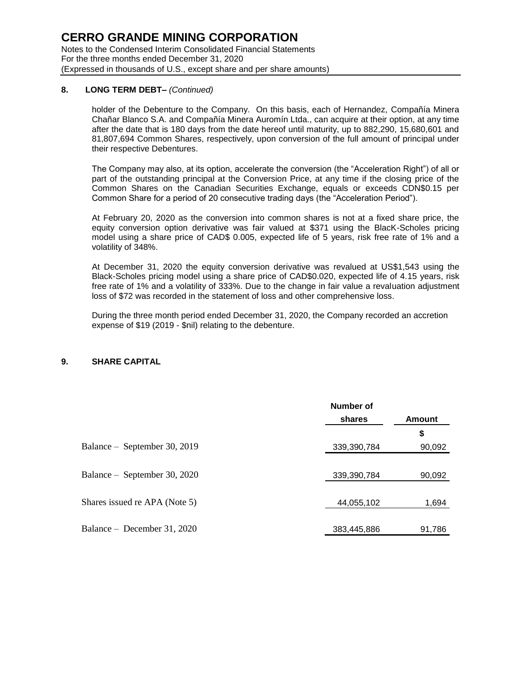#### **8. LONG TERM DEBT–** *(Continued)*

holder of the Debenture to the Company. On this basis, each of Hernandez, Compañía Minera Chañar Blanco S.A. and Compañía Minera Auromín Ltda., can acquire at their option, at any time after the date that is 180 days from the date hereof until maturity, up to 882,290, 15,680,601 and 81,807,694 Common Shares, respectively, upon conversion of the full amount of principal under their respective Debentures.

The Company may also, at its option, accelerate the conversion (the "Acceleration Right") of all or part of the outstanding principal at the Conversion Price, at any time if the closing price of the Common Shares on the Canadian Securities Exchange, equals or exceeds CDN\$0.15 per Common Share for a period of 20 consecutive trading days (the "Acceleration Period").

At February 20, 2020 as the conversion into common shares is not at a fixed share price, the equity conversion option derivative was fair valued at \$371 using the BlacK-Scholes pricing model using a share price of CAD\$ 0.005, expected life of 5 years, risk free rate of 1% and a volatility of 348%.

At December 31, 2020 the equity conversion derivative was revalued at US\$1,543 using the Black-Scholes pricing model using a share price of CAD\$0.020, expected life of 4.15 years, risk free rate of 1% and a volatility of 333%. Due to the change in fair value a revaluation adjustment loss of \$72 was recorded in the statement of loss and other comprehensive loss.

During the three month period ended December 31, 2020, the Company recorded an accretion expense of \$19 (2019 - \$nil) relating to the debenture.

### **9. SHARE CAPITAL**

|                               | Number of   |        |  |
|-------------------------------|-------------|--------|--|
|                               | shares      | Amount |  |
|                               |             | \$     |  |
| Balance – September 30, 2019  | 339,390,784 | 90,092 |  |
|                               |             |        |  |
| Balance – September 30, 2020  | 339,390,784 | 90,092 |  |
|                               |             |        |  |
| Shares issued re APA (Note 5) | 44,055,102  | 1,694  |  |
|                               |             |        |  |
| Balance – December 31, 2020   | 383,445,886 | 91,786 |  |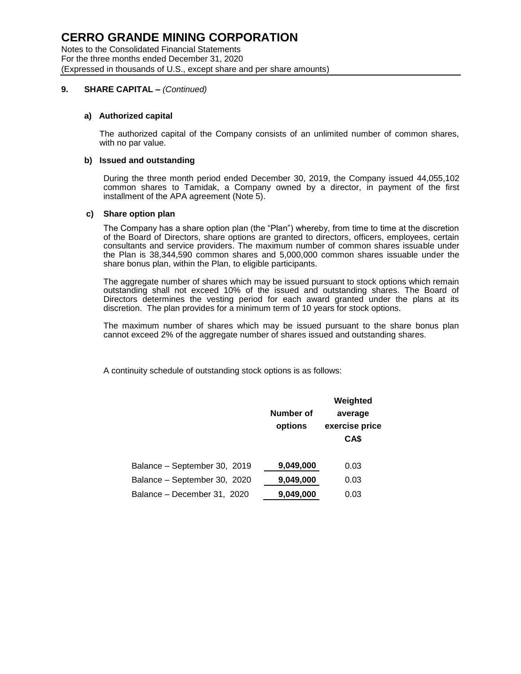Notes to the Consolidated Financial Statements For the three months ended December 31, 2020 (Expressed in thousands of U.S., except share and per share amounts)

### **9. SHARE CAPITAL –** *(Continued)*

#### **a) Authorized capital**

The authorized capital of the Company consists of an unlimited number of common shares, with no par value.

#### **b) Issued and outstanding**

During the three month period ended December 30, 2019, the Company issued 44,055,102 common shares to Tamidak, a Company owned by a director, in payment of the first installment of the APA agreement (Note 5).

#### **c) Share option plan**

The Company has a share option plan (the "Plan") whereby, from time to time at the discretion of the Board of Directors, share options are granted to directors, officers, employees, certain consultants and service providers. The maximum number of common shares issuable under the Plan is 38,344,590 common shares and 5,000,000 common shares issuable under the share bonus plan, within the Plan, to eligible participants.

The aggregate number of shares which may be issued pursuant to stock options which remain outstanding shall not exceed 10% of the issued and outstanding shares. The Board of Directors determines the vesting period for each award granted under the plans at its discretion. The plan provides for a minimum term of 10 years for stock options.

The maximum number of shares which may be issued pursuant to the share bonus plan cannot exceed 2% of the aggregate number of shares issued and outstanding shares.

A continuity schedule of outstanding stock options is as follows:

|                              | Number of<br>options | Weighted<br>average<br>exercise price<br>CA\$ |
|------------------------------|----------------------|-----------------------------------------------|
| Balance - September 30, 2019 | 9,049,000            | 0.03                                          |
| Balance - September 30, 2020 | 9,049,000            | 0.03                                          |
| Balance - December 31, 2020  | 9,049,000            | 0.03                                          |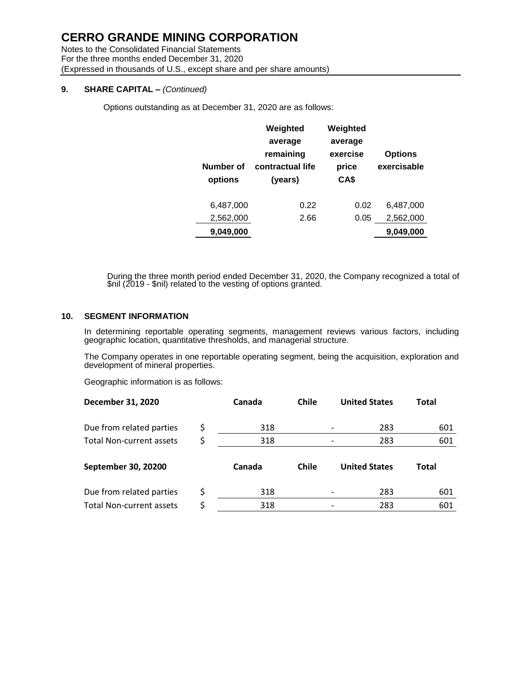Notes to the Consolidated Financial Statements For the three months ended December 31, 2020 (Expressed in thousands of U.S., except share and per share amounts)

### **9. SHARE CAPITAL –** *(Continued)*

Options outstanding as at December 31, 2020 are as follows:

|                      | Weighted<br>average<br>remaining | Weighted<br>average<br>exercise | <b>Options</b> |
|----------------------|----------------------------------|---------------------------------|----------------|
| Number of<br>options | contractual life<br>(years)      | price<br>CA\$                   | exercisable    |
| 6,487,000            | 0.22                             | 0.02                            | 6,487,000      |
| 2,562,000            | 2.66                             | 0.05                            | 2,562,000      |
| 9,049,000            |                                  |                                 | 9,049,000      |

During the three month period ended December 31, 2020, the Company recognized a total of \$nil (2019 - \$nil) related to the vesting of options granted.

#### **10. SEGMENT INFORMATION**

In determining reportable operating segments, management reviews various factors, including geographic location, quantitative thresholds, and managerial structure.

The Company operates in one reportable operating segment, being the acquisition, exploration and development of mineral properties.

Geographic information is as follows:

| <b>December 31, 2020</b>        | Canada    | <b>Chile</b> | <b>United States</b> | <b>Total</b> |
|---------------------------------|-----------|--------------|----------------------|--------------|
| Due from related parties        | \$<br>318 |              | 283                  | 601          |
| <b>Total Non-current assets</b> | \$<br>318 |              | 283                  | 601          |
| September 30, 20200             | Canada    | <b>Chile</b> | <b>United States</b> | <b>Total</b> |
| Due from related parties        | \$<br>318 |              | 283                  | 601          |
|                                 |           |              |                      |              |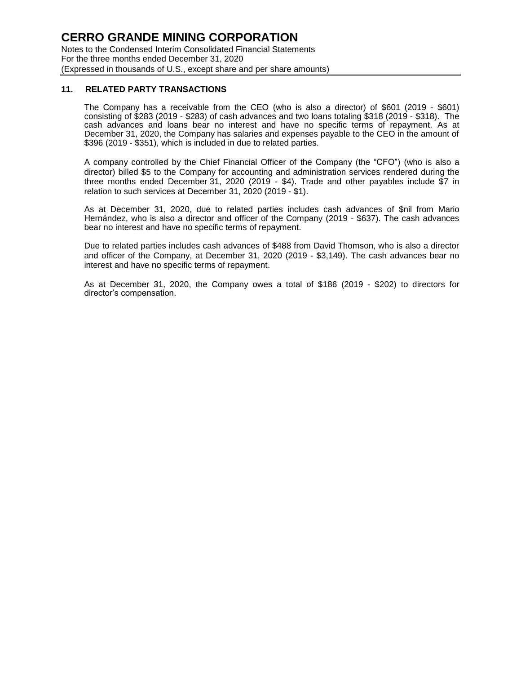#### **11. RELATED PARTY TRANSACTIONS**

The Company has a receivable from the CEO (who is also a director) of \$601 (2019 - \$601) consisting of \$283 (2019 - \$283) of cash advances and two loans totaling \$318 (2019 - \$318). The cash advances and loans bear no interest and have no specific terms of repayment. As at December 31, 2020, the Company has salaries and expenses payable to the CEO in the amount of \$396 (2019 - \$351), which is included in due to related parties.

A company controlled by the Chief Financial Officer of the Company (the "CFO") (who is also a director) billed \$5 to the Company for accounting and administration services rendered during the three months ended December 31, 2020 (2019 - \$4). Trade and other payables include \$7 in relation to such services at December 31, 2020 (2019 - \$1).

As at December 31, 2020, due to related parties includes cash advances of \$nil from Mario Hernández, who is also a director and officer of the Company (2019 - \$637). The cash advances bear no interest and have no specific terms of repayment.

Due to related parties includes cash advances of \$488 from David Thomson, who is also a director and officer of the Company, at December 31, 2020 (2019 - \$3,149). The cash advances bear no interest and have no specific terms of repayment.

As at December 31, 2020, the Company owes a total of \$186 (2019 - \$202) to directors for director's compensation.